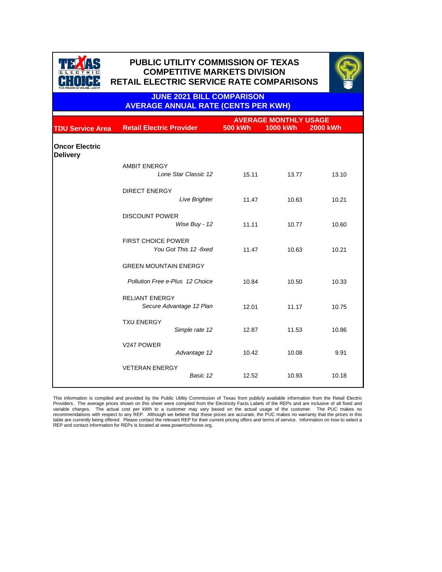



**JUNE 2021 BILL COMPARISON AVERAGE ANNUAL RATE (CENTS PER KWH)**

|                                          |                                                     | <b>AVERAGE MONTHLY USAGE</b> |                 |                 |  |
|------------------------------------------|-----------------------------------------------------|------------------------------|-----------------|-----------------|--|
| <b>TDU Service Area</b>                  | <b>Retail Electric Provider</b>                     | <b>500 kWh</b>               | <b>1000 kWh</b> | <b>2000 kWh</b> |  |
| <b>Oncor Electric</b><br><b>Delivery</b> |                                                     |                              |                 |                 |  |
|                                          | <b>AMBIT ENERGY</b><br>Lone Star Classic 12         | 15.11                        | 13.77           | 13.10           |  |
|                                          | <b>DIRECT ENERGY</b><br><b>Live Brighter</b>        | 11.47                        | 10.63           | 10.21           |  |
|                                          | <b>DISCOUNT POWER</b><br>Wise Buy - 12              | 11.11                        | 10.77           | 10.60           |  |
|                                          | <b>FIRST CHOICE POWER</b><br>You Got This 12 -fixed | 11.47                        | 10.63           | 10.21           |  |
|                                          | <b>GREEN MOUNTAIN ENERGY</b>                        |                              |                 |                 |  |
|                                          | Pollution Free e-Plus 12 Choice                     | 10.84                        | 10.50           | 10.33           |  |
|                                          | <b>RELIANT ENERGY</b><br>Secure Advantage 12 Plan   | 12.01                        | 11.17           | 10.75           |  |
|                                          | <b>TXU ENERGY</b><br>Simple rate 12                 | 12.87                        | 11.53           | 10.86           |  |
|                                          | V247 POWER<br>Advantage 12                          | 10.42                        | 10.08           | 9.91            |  |
|                                          | <b>VETERAN ENERGY</b><br>Basic 12                   | 12.52                        | 10.93           | 10.18           |  |

This information is compiled and provided by the Public Utility Commission of Texas from publicly available information from the Retail Electric<br>Providers. The average prices shown on this sheet were compiled from the Elec REP and contact information for REPs is located at www.powertochoose.org.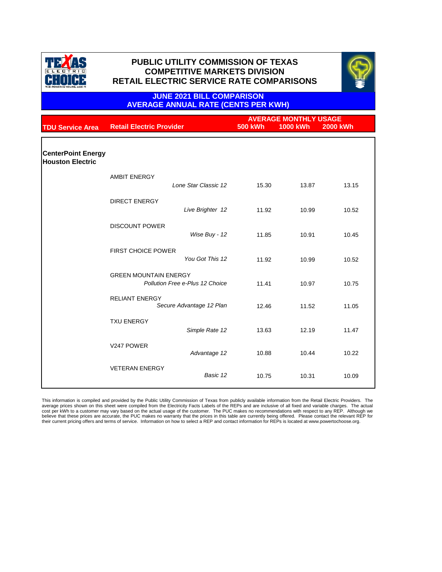



### **JUNE 2021 BILL COMPARISON AVERAGE ANNUAL RATE (CENTS PER KWH)**

|                                                      | <b>AVERAGE MONTHLY USAGE</b>    |                                 |                |                 |                 |
|------------------------------------------------------|---------------------------------|---------------------------------|----------------|-----------------|-----------------|
| <b>TDU Service Area</b>                              | <b>Retail Electric Provider</b> |                                 | <b>500 kWh</b> | <b>1000 kWh</b> | <b>2000 kWh</b> |
|                                                      |                                 |                                 |                |                 |                 |
|                                                      |                                 |                                 |                |                 |                 |
| <b>CenterPoint Energy</b><br><b>Houston Electric</b> |                                 |                                 |                |                 |                 |
|                                                      |                                 |                                 |                |                 |                 |
|                                                      | <b>AMBIT ENERGY</b>             |                                 |                |                 |                 |
|                                                      |                                 | Lone Star Classic 12            | 15.30          | 13.87           | 13.15           |
|                                                      |                                 |                                 |                |                 |                 |
|                                                      | <b>DIRECT ENERGY</b>            |                                 |                |                 |                 |
|                                                      |                                 | Live Brighter 12                | 11.92          | 10.99           | 10.52           |
|                                                      |                                 |                                 |                |                 |                 |
|                                                      | <b>DISCOUNT POWER</b>           |                                 |                |                 |                 |
|                                                      |                                 | Wise Buy - 12                   | 11.85          | 10.91           | 10.45           |
|                                                      |                                 |                                 |                |                 |                 |
|                                                      | <b>FIRST CHOICE POWER</b>       |                                 |                |                 |                 |
|                                                      |                                 | You Got This 12                 | 11.92          | 10.99           | 10.52           |
|                                                      |                                 |                                 |                |                 |                 |
|                                                      | <b>GREEN MOUNTAIN ENERGY</b>    |                                 |                |                 |                 |
|                                                      |                                 | Pollution Free e-Plus 12 Choice | 11.41          | 10.97           | 10.75           |
|                                                      | <b>RELIANT ENERGY</b>           |                                 |                |                 |                 |
|                                                      |                                 | Secure Advantage 12 Plan        | 12.46          | 11.52           | 11.05           |
|                                                      |                                 |                                 |                |                 |                 |
|                                                      | <b>TXU ENERGY</b>               |                                 |                |                 |                 |
|                                                      |                                 | Simple Rate 12                  | 13.63          | 12.19           | 11.47           |
|                                                      |                                 |                                 |                |                 |                 |
|                                                      | V247 POWER                      |                                 |                |                 |                 |
|                                                      |                                 | Advantage 12                    | 10.88          | 10.44           | 10.22           |
|                                                      | <b>VETERAN ENERGY</b>           |                                 |                |                 |                 |
|                                                      |                                 | Basic 12                        | 10.75          | 10.31           | 10.09           |
|                                                      |                                 |                                 |                |                 |                 |
|                                                      |                                 |                                 |                |                 |                 |

This information is compiled and provided by the Public Utility Commission of Texas from publicly available information from the Retail Electric Providers. The average prices shown on this sheet were compiled from the Electricity Facts Labels of the REPs and are inclusive of all fixed and variable charges. The actual<br>cost per kWh to a customer may vary based on the actual usage o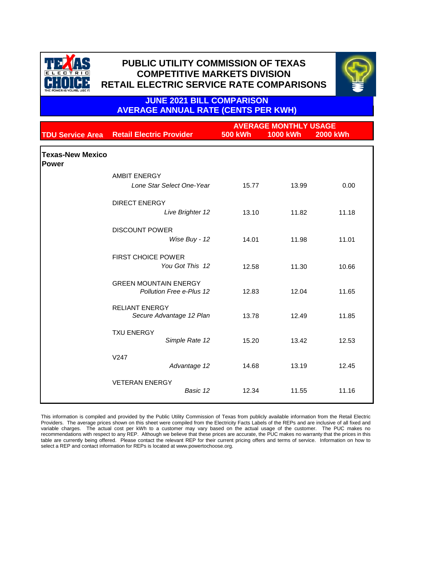



**JUNE 2021 BILL COMPARISON AVERAGE ANNUAL RATE (CENTS PER KWH)**

|                                         |                                 | <b>AVERAGE MONTHLY USAGE</b> |                 |                 |  |
|-----------------------------------------|---------------------------------|------------------------------|-----------------|-----------------|--|
| <b>TDU Service Area</b>                 | <b>Retail Electric Provider</b> | <b>500 kWh</b>               | <b>1000 kWh</b> | <b>2000 kWh</b> |  |
| <b>Texas-New Mexico</b><br><b>Power</b> |                                 |                              |                 |                 |  |
|                                         | <b>AMBIT ENERGY</b>             |                              |                 |                 |  |
|                                         | Lone Star Select One-Year       | 15.77                        | 13.99           | 0.00            |  |
|                                         | <b>DIRECT ENERGY</b>            |                              |                 |                 |  |
|                                         | Live Brighter 12                | 13.10                        | 11.82           | 11.18           |  |
|                                         | <b>DISCOUNT POWER</b>           |                              |                 |                 |  |
|                                         | Wise Buy - 12                   | 14.01                        | 11.98           | 11.01           |  |
|                                         | <b>FIRST CHOICE POWER</b>       |                              |                 |                 |  |
|                                         | You Got This 12                 | 12.58                        | 11.30           | 10.66           |  |
|                                         | <b>GREEN MOUNTAIN ENERGY</b>    |                              |                 |                 |  |
|                                         | Pollution Free e-Plus 12        | 12.83                        | 12.04           | 11.65           |  |
|                                         | <b>RELIANT ENERGY</b>           |                              |                 |                 |  |
|                                         | Secure Advantage 12 Plan        | 13.78                        | 12.49           | 11.85           |  |
|                                         | <b>TXU ENERGY</b>               |                              |                 |                 |  |
|                                         | Simple Rate 12                  | 15.20                        | 13.42           | 12.53           |  |
|                                         | V247                            |                              |                 |                 |  |
|                                         | Advantage 12                    | 14.68                        | 13.19           | 12.45           |  |
|                                         | <b>VETERAN ENERGY</b>           |                              |                 |                 |  |
|                                         | Basic 12                        | 12.34                        | 11.55           | 11.16           |  |

This information is compiled and provided by the Public Utility Commission of Texas from publicly available information from the Retail Electric Providers. The average prices shown on this sheet were compiled from the Electricity Facts Labels of the REPs and are inclusive of all fixed and variable charges. The actual cost per kWh to a customer may vary based on the actual usage of the customer. The PUC makes no recommendations with respect to any REP. Although we believe that these prices are accurate, the PUC makes no warranty that the prices in this table are currently being offered. Please contact the relevant REP for their current pricing offers and terms of service. Information on how to select a REP and contact information for REPs is located at www.powertochoose.org.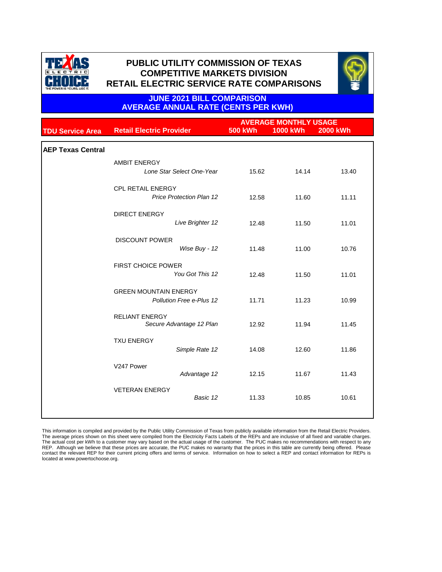



## **JUNE 2021 BILL COMPARISON AVERAGE ANNUAL RATE (CENTS PER KWH)**

|                          |                                                   |                | <b>AVERAGE MONTHLY USAGE</b> |                 |  |  |
|--------------------------|---------------------------------------------------|----------------|------------------------------|-----------------|--|--|
| <b>TDU Service Area</b>  | <b>Retail Electric Provider</b>                   | <b>500 kWh</b> | <b>1000 kWh</b>              | <b>2000 kWh</b> |  |  |
|                          |                                                   |                |                              |                 |  |  |
| <b>AEP Texas Central</b> |                                                   |                |                              |                 |  |  |
|                          | <b>AMBIT ENERGY</b>                               |                |                              |                 |  |  |
|                          | Lone Star Select One-Year                         | 15.62          | 14.14                        | 13.40           |  |  |
|                          | <b>CPL RETAIL ENERGY</b>                          |                |                              |                 |  |  |
|                          | <b>Price Protection Plan 12</b>                   | 12.58          | 11.60                        | 11.11           |  |  |
|                          | <b>DIRECT ENERGY</b>                              |                |                              |                 |  |  |
|                          | Live Brighter 12                                  | 12.48          | 11.50                        | 11.01           |  |  |
|                          | <b>DISCOUNT POWER</b>                             |                |                              |                 |  |  |
|                          | Wise Buy - 12                                     | 11.48          | 11.00                        | 10.76           |  |  |
|                          | <b>FIRST CHOICE POWER</b>                         |                |                              |                 |  |  |
|                          | You Got This 12                                   | 12.48          | 11.50                        | 11.01           |  |  |
|                          | <b>GREEN MOUNTAIN ENERGY</b>                      |                |                              |                 |  |  |
|                          | Pollution Free e-Plus 12                          | 11.71          | 11.23                        | 10.99           |  |  |
|                          |                                                   |                |                              |                 |  |  |
|                          | <b>RELIANT ENERGY</b><br>Secure Advantage 12 Plan | 12.92          | 11.94                        | 11.45           |  |  |
|                          |                                                   |                |                              |                 |  |  |
|                          | <b>TXU ENERGY</b>                                 |                |                              |                 |  |  |
|                          | Simple Rate 12                                    | 14.08          | 12.60                        | 11.86           |  |  |
|                          | V247 Power                                        |                |                              |                 |  |  |
|                          | Advantage 12                                      | 12.15          | 11.67                        | 11.43           |  |  |
|                          | <b>VETERAN ENERGY</b>                             |                |                              |                 |  |  |
|                          | Basic 12                                          | 11.33          | 10.85                        | 10.61           |  |  |
|                          |                                                   |                |                              |                 |  |  |
|                          |                                                   |                |                              |                 |  |  |

This information is compiled and provided by the Public Utility Commission of Texas from publicly available information from the Retail Electric Providers. The average prices shown on this sheet were compiled from the Electricity Facts Labels of the REPs and are inclusive of all fixed and variable charges. The actual cost per kWh to a customer may vary based on the actual usage of the customer. The PUC makes no recommendations with respect to any REP. Although we believe that these prices are accurate, the PUC makes no warranty that the prices in this table are currently being offered. Please<br>contact the relevant REP for their current pricing offers and terms of se located at www.powertochoose.org.